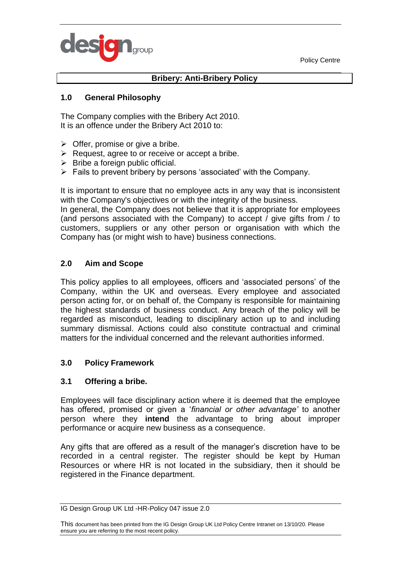Policy Centre



# **Bribery: Anti-Bribery Policy**

#### **1.0 General Philosophy**

The Company complies with the Bribery Act 2010. It is an offence under the Bribery Act 2010 to:

- $\triangleright$  Offer, promise or give a bribe.
- $\triangleright$  Request, agree to or receive or accept a bribe.
- $\triangleright$  Bribe a foreign public official.
- $\triangleright$  Fails to prevent bribery by persons 'associated' with the Company.

It is important to ensure that no employee acts in any way that is inconsistent with the Company's objectives or with the integrity of the business.

In general, the Company does not believe that it is appropriate for employees (and persons associated with the Company) to accept / give gifts from / to customers, suppliers or any other person or organisation with which the Company has (or might wish to have) business connections.

#### **2.0 Aim and Scope**

This policy applies to all employees, officers and 'associated persons' of the Company, within the UK and overseas. Every employee and associated person acting for, or on behalf of, the Company is responsible for maintaining the highest standards of business conduct. Any breach of the policy will be regarded as misconduct, leading to disciplinary action up to and including summary dismissal. Actions could also constitute contractual and criminal matters for the individual concerned and the relevant authorities informed.

#### **3.0 Policy Framework**

#### **3.1 Offering a bribe.**

Employees will face disciplinary action where it is deemed that the employee has offered, promised or given a '*financial or other advantage'* to another person where they **intend** the advantage to bring about improper performance or acquire new business as a consequence.

Any gifts that are offered as a result of the manager's discretion have to be recorded in a central register. The register should be kept by Human Resources or where HR is not located in the subsidiary, then it should be registered in the Finance department.

IG Design Group UK Ltd -HR-Policy 047 issue 2.0

This document has been printed from the IG Design Group UK Ltd Policy Centre Intranet on 13/10/20. Please ensure you are referring to the most recent policy.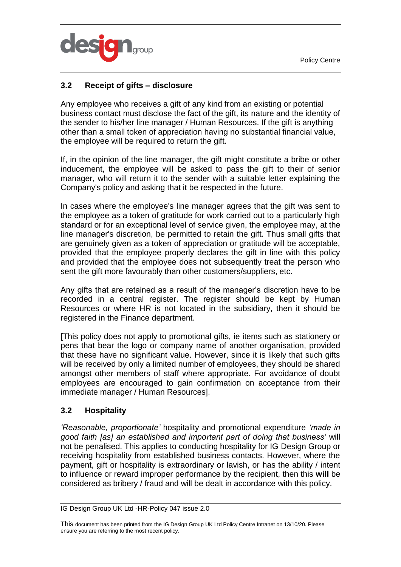Policy Centre



# **3.2 Receipt of gifts – disclosure**

Any employee who receives a gift of any kind from an existing or potential business contact must disclose the fact of the gift, its nature and the identity of the sender to his/her line manager / Human Resources. If the gift is anything other than a small token of appreciation having no substantial financial value, the employee will be required to return the gift.

If, in the opinion of the line manager, the gift might constitute a bribe or other inducement, the employee will be asked to pass the gift to their of senior manager, who will return it to the sender with a suitable letter explaining the Company's policy and asking that it be respected in the future.

In cases where the employee's line manager agrees that the gift was sent to the employee as a token of gratitude for work carried out to a particularly high standard or for an exceptional level of service given, the employee may, at the line manager's discretion, be permitted to retain the gift. Thus small gifts that are genuinely given as a token of appreciation or gratitude will be acceptable, provided that the employee properly declares the gift in line with this policy and provided that the employee does not subsequently treat the person who sent the gift more favourably than other customers/suppliers, etc.

Any gifts that are retained as a result of the manager's discretion have to be recorded in a central register. The register should be kept by Human Resources or where HR is not located in the subsidiary, then it should be registered in the Finance department.

[This policy does not apply to promotional gifts, ie items such as stationery or pens that bear the logo or company name of another organisation, provided that these have no significant value. However, since it is likely that such gifts will be received by only a limited number of employees, they should be shared amongst other members of staff where appropriate. For avoidance of doubt employees are encouraged to gain confirmation on acceptance from their immediate manager / Human Resources].

## **3.2 Hospitality**

*'Reasonable, proportionate'* hospitality and promotional expenditure *'made in good faith [as] an established and important part of doing that business'* will not be penalised. This applies to conducting hospitality for IG Design Group or receiving hospitality from established business contacts. However, where the payment, gift or hospitality is extraordinary or lavish, or has the ability / intent to influence or reward improper performance by the recipient, then this **will** be considered as bribery / fraud and will be dealt in accordance with this policy.

IG Design Group UK Ltd -HR-Policy 047 issue 2.0

This document has been printed from the IG Design Group UK Ltd Policy Centre Intranet on 13/10/20. Please ensure you are referring to the most recent policy.